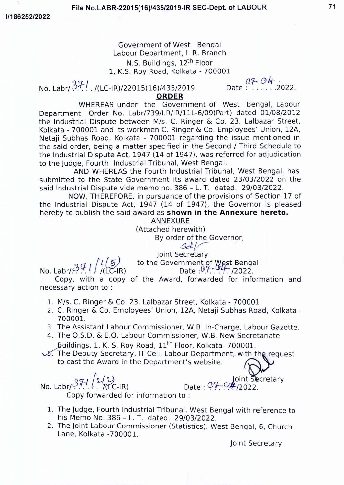**File No.LABR-22015(16)/435/2019-IR SEC-Dept. of LABOUR 71**

*1/186252/2022*

# Government of West Bengal Labour Department, I. R. Branch N.S. Buildings, 12<sup>th</sup> Floor

1, K.S. Roy Road, Kolkata - 700001<br>-IR)/22015(16)/435/2019 Date: . . . . . . . 2022. *3J--1 ~r<c ou /* No. Labr/ /(LC-IR)/22015(16)/435/2019 Date 2022. **ORDER**

WHEREAS under the Government of West Bengal, Labour Department Order No. Labr/739/I.R/lR/IIL-6/09(Part) dated 01/08/2012 the Industrial Dispute between M/s. C. Ringer & Co. 23, Lalbazar Street, Kolkata - 700001 and its workmen C. Ringer & Co. Employees' Union, 12A, Netaji Subhas Road, Kolkata - 700001 regarding the issue mentioned in the said order, being a matter specified in the Second / Third Schedule to the Industrial Dispute Act, 1947 (14 of 1947), was referred for adjudication to the Judge, Fourth Industrial Tribunal, West Bengal.

AND WHEREAS the Fourth Industrial Tribunal, West Bengal, has submitted to the State Government its award dated 23/03/2022 on the said Industrial Dispute vide memo no. 386 - L. T. dated. 29/03/2022.

NOW, THEREFORE, in pursuance of the provisions of Section 17 of the Industrial Dispute Act, 1947 (14 of 1947), the Governor is pleased hereby to publish the said award as **shown in the Annexure hereto.**

ANNEXURE

(Attached herewith)

By order of the Governor, *sdj/*

Joint Secretary

*(3<;f-1 Il (y)* No. Labr/. . . .. /(LGR)

to the Government of West Benga Date *0.*7 - 04 - /2022

Copy, with a copy of the Award, forwarded for information and necessary action to:

- 1. M/s. C. Ringer & Co. 23, Lalbazar Street, Kolkata 700001.
- 2. C. Ringer & Co. Employees' Union, 12A, Netaji Subhas Road, Kolkata 700001.
- 3. The Assistant Labour Commissioner, W.B. In-Charge, Labour Gazette.
- 4. The O.S.D. & E.O. Labour Commissioner, W.B. New Secretariate Buildings, 1, K. S. Roy Road, 11<sup>th</sup> Floor, Kolkata- 700001.
- & The Deputy Secretary, IT Cell, Labour Department, with the request to cast the Award in the Department's website.

No. Labr/ المجمع المستقادة المستقادة المستقادة المستقادة المستقادة المستقادة المستقادة المستقادة المستقادة الم

Copy forwarded for information to :

*j1-llu~* .0 .-\_JointS cretary

- 1. The judge, Fourth Industrial Tribunal, West Bengal with reference to his Memo No. 386 - L. T. dated. 29/03/2022.
- 2. The joint Labour Commissioner (Statistics), West Bengal, 6, Church Lane, Kolkata -700001.

joint Secretary